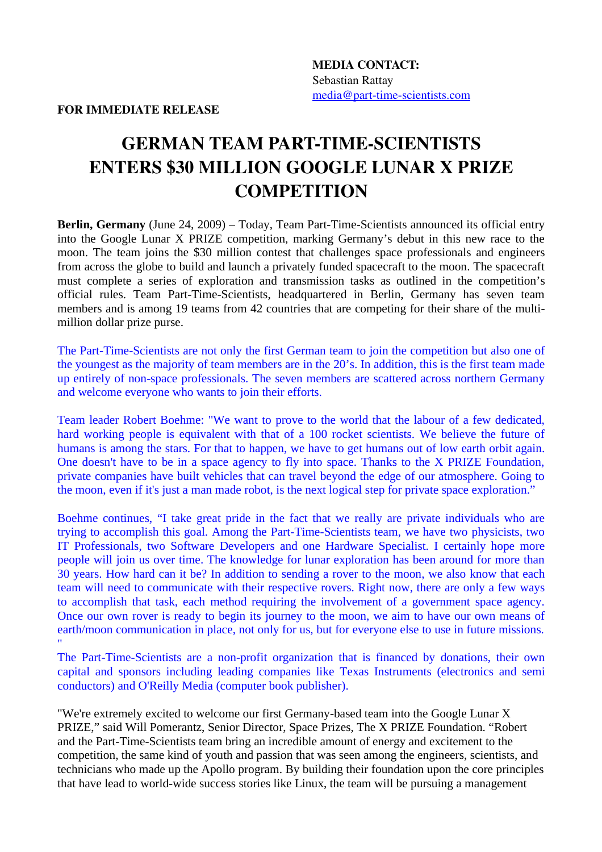FOR IMMEDIATE RELEASE

## **GERMAN TEAM PART-TIME-SCIENTISTS** ENTERS \$30 MILLION GOOGLE LUNAR X PRIZE **COMPETITION**

**Berlin, Germany** (June 24, 2009) – Today, Team Part-Time-Scientists announced its official entry into the Google Lunar X PRIZE competition, marking Germany's debut in this new race to the moon. The team joins the \$30 million contest that challenges space professionals and engineers from across the globe to build and launch a privately funded spacecraft to the moon. The spacecraft must complete a series of exploration and transmission tasks as outlined in the competition's official rules. Team Part-Time-Scientists, headquartered in Berlin, Germany has seven team members and is among 19 teams from 42 countries that are competing for their share of the multimillion dollar prize purse.

The Part-Time-Scientists are not only the first German team to join the competition but also one of the youngest as the majority of team members are in the 20's. In addition, this is the first team made up entirely of non-space professionals. The seven members are scattered across northern Germany and welcome everyone who wants to join their efforts.

Team leader Robert Boehme: "We want to prove to the world that the labour of a few dedicated, hard working people is equivalent with that of a 100 rocket scientists. We believe the future of humans is among the stars. For that to happen, we have to get humans out of low earth orbit again. One doesn't have to be in a space agency to fly into space. Thanks to the X PRIZE Foundation, private companies have built vehicles that can travel beyond the edge of our atmosphere. Going to the moon, even if it's just a man made robot, is the next logical step for private space exploration."

Boehme continues, "I take great pride in the fact that we really are private individuals who are trying to accomplish this goal. Among the Part-Time-Scientists team, we have two physicists, two IT Professionals, two Software Developers and one Hardware Specialist. I certainly hope more people will join us over time. The knowledge for lunar exploration has been around for more than 30 years. How hard can it be? In addition to sending a rover to the moon, we also know that each team will need to communicate with their respective rovers. Right now, there are only a few ways to accomplish that task, each method requiring the involvement of a government space agency. Once our own rover is ready to begin its journey to the moon, we aim to have our own means of earth/moon communication in place, not only for us, but for everyone else to use in future missions. "

The Part-Time-Scientists are a non-profit organization that is financed by donations, their own capital and sponsors including leading companies like Texas Instruments (electronics and semi conductors) and O'Reilly Media (computer book publisher).

"We're extremely excited to welcome our first Germany-based team into the Google Lunar X PRIZE," said Will Pomerantz, Senior Director, Space Prizes, The X PRIZE Foundation. "Robert and the Part-Time-Scientists team bring an incredible amount of energy and excitement to the competition, the same kind of youth and passion that was seen among the engineers, scientists, and technicians who made up the Apollo program. By building their foundation upon the core principles that have lead to world-wide success stories like Linux, the team will be pursuing a management